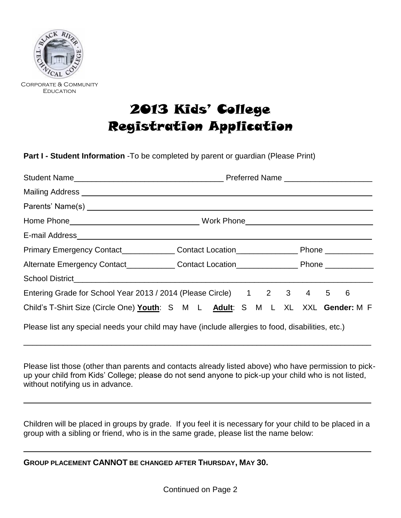

Corporate & Community **EDUCATION** 

# 2013 Kids' College Registration Application

**Part I - Student Information** -To be completed by parent or guardian (Please Print)

|                                                                                                   | Primary Emergency Contact_______________Contact Location__________________Phone ____________________ |  |  |  |  |  |  |  |
|---------------------------------------------------------------------------------------------------|------------------------------------------------------------------------------------------------------|--|--|--|--|--|--|--|
| Alternate Emergency Contact_____________Contact Location__________________Phone ____________      |                                                                                                      |  |  |  |  |  |  |  |
|                                                                                                   |                                                                                                      |  |  |  |  |  |  |  |
| Entering Grade for School Year 2013 / 2014 (Please Circle) 1 2 3 4 5 6                            |                                                                                                      |  |  |  |  |  |  |  |
| Child's T-Shirt Size (Circle One) Youth: S M L Adult: S M L XL XXL Gender: M F                    |                                                                                                      |  |  |  |  |  |  |  |
| Please list any special needs your child may have (include allergies to food, disabilities, etc.) |                                                                                                      |  |  |  |  |  |  |  |

Please list those (other than parents and contacts already listed above) who have permission to pickup your child from Kids' College; please do not send anyone to pick-up your child who is not listed, without notifying us in advance.

 $\_$  , and the set of the set of the set of the set of the set of the set of the set of the set of the set of the set of the set of the set of the set of the set of the set of the set of the set of the set of the set of th

Children will be placed in groups by grade. If you feel it is necessary for your child to be placed in a group with a sibling or friend, who is in the same grade, please list the name below:

 $\_$  , and the set of the set of the set of the set of the set of the set of the set of the set of the set of the set of the set of the set of the set of the set of the set of the set of the set of the set of the set of th

 $\_$  , and the set of the set of the set of the set of the set of the set of the set of the set of the set of the set of the set of the set of the set of the set of the set of the set of the set of the set of the set of th

**GROUP PLACEMENT CANNOT BE CHANGED AFTER THURSDAY, MAY 30.**